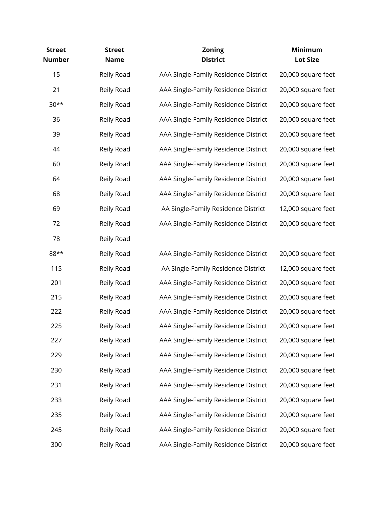| <b>Street</b><br><b>Number</b> | <b>Street</b><br><b>Name</b> | <b>Zoning</b><br><b>District</b>     | Minimum<br><b>Lot Size</b> |
|--------------------------------|------------------------------|--------------------------------------|----------------------------|
| 15                             | Reily Road                   | AAA Single-Family Residence District | 20,000 square feet         |
| 21                             | Reily Road                   | AAA Single-Family Residence District | 20,000 square feet         |
| $30**$                         | Reily Road                   | AAA Single-Family Residence District | 20,000 square feet         |
| 36                             | Reily Road                   | AAA Single-Family Residence District | 20,000 square feet         |
| 39                             | Reily Road                   | AAA Single-Family Residence District | 20,000 square feet         |
| 44                             | Reily Road                   | AAA Single-Family Residence District | 20,000 square feet         |
| 60                             | Reily Road                   | AAA Single-Family Residence District | 20,000 square feet         |
| 64                             | Reily Road                   | AAA Single-Family Residence District | 20,000 square feet         |
| 68                             | Reily Road                   | AAA Single-Family Residence District | 20,000 square feet         |
| 69                             | Reily Road                   | AA Single-Family Residence District  | 12,000 square feet         |
| 72                             | Reily Road                   | AAA Single-Family Residence District | 20,000 square feet         |
| 78                             | Reily Road                   |                                      |                            |
| 88**                           | Reily Road                   | AAA Single-Family Residence District | 20,000 square feet         |
| 115                            | Reily Road                   | AA Single-Family Residence District  | 12,000 square feet         |
| 201                            | Reily Road                   | AAA Single-Family Residence District | 20,000 square feet         |
| 215                            | Reily Road                   | AAA Single-Family Residence District | 20,000 square feet         |
| 222                            | Reily Road                   | AAA Single-Family Residence District | 20,000 square feet         |
| 225                            | Reily Road                   | AAA Single-Family Residence District | 20,000 square feet         |
| 227                            | Reily Road                   | AAA Single-Family Residence District | 20,000 square feet         |
| 229                            | Reily Road                   | AAA Single-Family Residence District | 20,000 square feet         |
| 230                            | Reily Road                   | AAA Single-Family Residence District | 20,000 square feet         |
| 231                            | Reily Road                   | AAA Single-Family Residence District | 20,000 square feet         |
| 233                            | Reily Road                   | AAA Single-Family Residence District | 20,000 square feet         |
| 235                            | Reily Road                   | AAA Single-Family Residence District | 20,000 square feet         |
| 245                            | Reily Road                   | AAA Single-Family Residence District | 20,000 square feet         |
| 300                            | Reily Road                   | AAA Single-Family Residence District | 20,000 square feet         |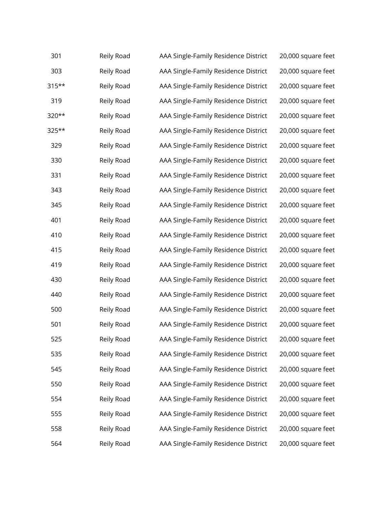| 301      | Reily Road | AAA Single-Family Residence District | 20,000 square feet |
|----------|------------|--------------------------------------|--------------------|
| 303      | Reily Road | AAA Single-Family Residence District | 20,000 square feet |
| $315***$ | Reily Road | AAA Single-Family Residence District | 20,000 square feet |
| 319      | Reily Road | AAA Single-Family Residence District | 20,000 square feet |
| 320**    | Reily Road | AAA Single-Family Residence District | 20,000 square feet |
| 325**    | Reily Road | AAA Single-Family Residence District | 20,000 square feet |
| 329      | Reily Road | AAA Single-Family Residence District | 20,000 square feet |
| 330      | Reily Road | AAA Single-Family Residence District | 20,000 square feet |
| 331      | Reily Road | AAA Single-Family Residence District | 20,000 square feet |
| 343      | Reily Road | AAA Single-Family Residence District | 20,000 square feet |
| 345      | Reily Road | AAA Single-Family Residence District | 20,000 square feet |
| 401      | Reily Road | AAA Single-Family Residence District | 20,000 square feet |
| 410      | Reily Road | AAA Single-Family Residence District | 20,000 square feet |
| 415      | Reily Road | AAA Single-Family Residence District | 20,000 square feet |
| 419      | Reily Road | AAA Single-Family Residence District | 20,000 square feet |
| 430      | Reily Road | AAA Single-Family Residence District | 20,000 square feet |
| 440      | Reily Road | AAA Single-Family Residence District | 20,000 square feet |
| 500      | Reily Road | AAA Single-Family Residence District | 20,000 square feet |
| 501      | Reily Road | AAA Single-Family Residence District | 20,000 square feet |
| 525      | Reily Road | AAA Single-Family Residence District | 20,000 square feet |
| 535      | Reily Road | AAA Single-Family Residence District | 20,000 square feet |
| 545      | Reily Road | AAA Single-Family Residence District | 20,000 square feet |
| 550      | Reily Road | AAA Single-Family Residence District | 20,000 square feet |
| 554      | Reily Road | AAA Single-Family Residence District | 20,000 square feet |
| 555      | Reily Road | AAA Single-Family Residence District | 20,000 square feet |
| 558      | Reily Road | AAA Single-Family Residence District | 20,000 square feet |
| 564      | Reily Road | AAA Single-Family Residence District | 20,000 square feet |